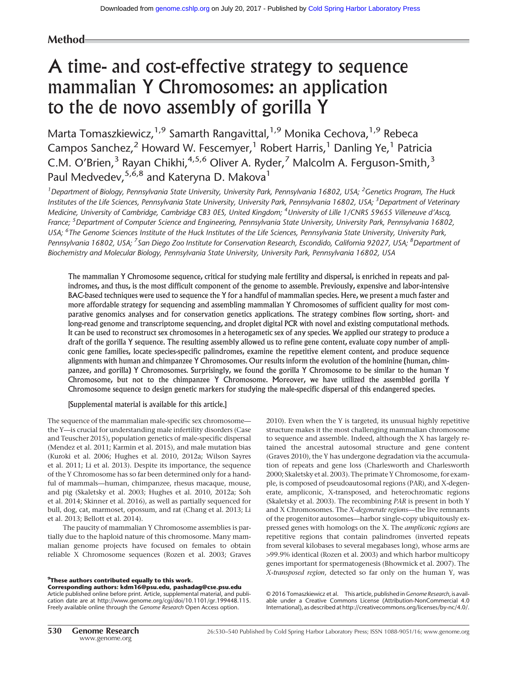# Method

# A time- and cost-effective strategy to sequence mammalian Y Chromosomes: an application to the de novo assembly of gorilla Y

Marta Tomaszkiewicz, $1,9$  Samarth Rangavittal, $1,9$  Monika Cechova, $1,9$  Rebeca Campos Sanchez,<sup>2</sup> Howard W. Fescemyer,<sup>1</sup> Robert Harris,<sup>1</sup> Danling Ye,<sup>1</sup> Patricia C.M. O'Brien,<sup>3</sup> Rayan Chikhi,<sup>4,5,6</sup> Oliver A. Ryder,<sup>7</sup> Malcolm A. Ferguson-Smith,<sup>3</sup> Paul Medvedev, <sup>5, 6,8</sup> and Kateryna D. Makova<sup>1</sup>

<sup>1</sup>Department of Biology, Pennsylvania State University, University Park, Pennsylvania 16802, USA; <sup>2</sup>Genetics Program, The Huck Institutes of the Life Sciences, Pennsylvania State University, University Park, Pennsylvania 16802, USA; <sup>3</sup>Department of Veterinary Medicine, University of Cambridge, Cambridge CB3 0ES, United Kingdom; <sup>4</sup>University of Lille 1/CNRS 59655 Villeneuve d'Ascq, France; <sup>5</sup> Department of Computer Science and Engineering, Pennsylvania State University, University Park, Pennsylvania 16802, USA; <sup>6</sup>The Genome Sciences Institute of the Huck Institutes of the Life Sciences, Pennsylvania State University, University Park, Pennsylvania 16802, USA; <sup>7</sup>San Diego Zoo Institute for Conservation Research, Escondido, California 92027, USA; <sup>8</sup>Department o*l* Biochemistry and Molecular Biology, Pennsylvania State University, University Park, Pennsylvania 16802, USA

The mammalian Y Chromosome sequence, critical for studying male fertility and dispersal, is enriched in repeats and palindromes, and thus, is the most difficult component of the genome to assemble. Previously, expensive and labor-intensive BAC-based techniques were used to sequence the Y for a handful of mammalian species. Here, we present a much faster and more affordable strategy for sequencing and assembling mammalian Y Chromosomes of sufficient quality for most comparative genomics analyses and for conservation genetics applications. The strategy combines flow sorting, short- and long-read genome and transcriptome sequencing, and droplet digital PCR with novel and existing computational methods. It can be used to reconstruct sex chromosomes in a heterogametic sex of any species. We applied our strategy to produce a draft of the gorilla Y sequence. The resulting assembly allowed us to refine gene content, evaluate copy number of ampliconic gene families, locate species-specific palindromes, examine the repetitive element content, and produce sequence alignments with human and chimpanzee Y Chromosomes. Our results inform the evolution of the hominine (human, chimpanzee, and gorilla) Y Chromosomes. Surprisingly, we found the gorilla Y Chromosome to be similar to the human Y Chromosome, but not to the chimpanzee Y Chromosome. Moreover, we have utilized the assembled gorilla Y Chromosome sequence to design genetic markers for studying the male-specific dispersal of this endangered species.

[Supplemental material is available for this article.]

The sequence of the mammalian male-specific sex chromosome the Y—is crucial for understanding male infertility disorders (Case and Teuscher 2015), population genetics of male-specific dispersal (Mendez et al. 2011; Karmin et al. 2015), and male mutation bias (Kuroki et al. 2006; Hughes et al. 2010, 2012a; Wilson Sayres et al. 2011; Li et al. 2013). Despite its importance, the sequence of the Y Chromosome has so far been determined only for a handful of mammals—human, chimpanzee, rhesus macaque, mouse, and pig (Skaletsky et al. 2003; Hughes et al. 2010, 2012a; Soh et al. 2014; Skinner et al. 2016), as well as partially sequenced for bull, dog, cat, marmoset, opossum, and rat (Chang et al. 2013; Li et al. 2013; Bellott et al. 2014).

The paucity of mammalian Y Chromosome assemblies is partially due to the haploid nature of this chromosome. Many mammalian genome projects have focused on females to obtain reliable X Chromosome sequences (Rozen et al. 2003; Graves

<sup>9</sup>These authors contributed equally to this work.

Corresponding authors: [kdm16@psu.edu,](mailto:kdm16@psu.edu) [pashadag@cse.psu.edu](mailto:pashadag@cse.psu.edu) Article published online before print. Article, supplemental material, and publication date are at<http://www.genome.org/cgi/doi/10.1101/gr.199448.115>. Freely available online through the Genome Research Open Access option.

2010). Even when the Y is targeted, its unusual highly repetitive structure makes it the most challenging mammalian chromosome to sequence and assemble. Indeed, although the X has largely retained the ancestral autosomal structure and gene content (Graves 2010), the Y has undergone degradation via the accumulation of repeats and gene loss (Charlesworth and Charlesworth 2000; Skaletsky et al. 2003). The primate Y Chromosome, for example, is composed of pseudoautosomal regions (PAR), and X-degenerate, ampliconic, X-transposed, and heterochromatic regions (Skaletsky et al. 2003). The recombining PAR is present in both Y and X Chromosomes. The X-degenerate regions—the live remnants of the progenitor autosomes—harbor single-copy ubiquitously expressed genes with homologs on the X. The ampliconic regions are repetitive regions that contain palindromes (inverted repeats from several kilobases to several megabases long), whose arms are >99.9% identical (Rozen et al. 2003) and which harbor multicopy genes important for spermatogenesis (Bhowmick et al. 2007). The X-transposed region, detected so far only on the human Y, was

[© 2016 Tomaszkiewicz et al.](http://genome.cshlp.org/site/misc/terms.xhtml) This article, published in Genome Research, is available under a Creative Commons License (Attribution-NonCommercial 4.0 International), as described at [http://creativecommons.org/licenses/by-nc/4.0/.](http://creativecommons.org/licenses/by-nc/4.0/)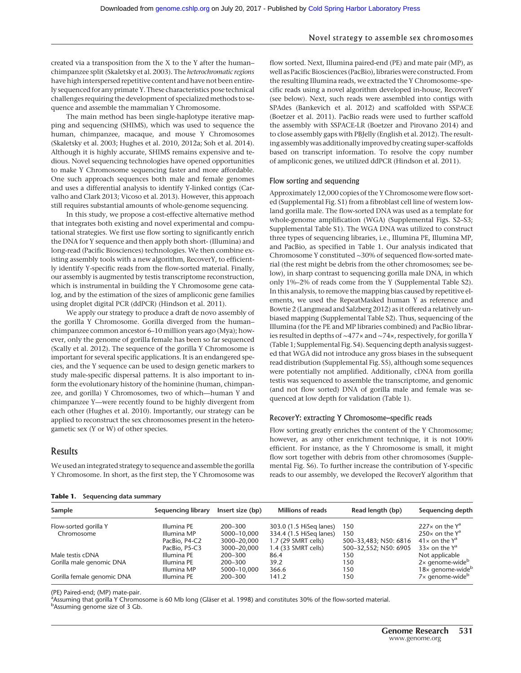created via a transposition from the X to the Y after the human– chimpanzee split (Skaletsky et al. 2003). The heterochromatic regions have high interspersed repetitive content and have not been entirely sequenced for any primate Y. These characteristics pose technical challenges requiring the development of specializedmethods to sequence and assemble the mammalian Y Chromosome.

The main method has been single-haplotype iterative mapping and sequencing (SHIMS), which was used to sequence the human, chimpanzee, macaque, and mouse Y Chromosomes (Skaletsky et al. 2003; Hughes et al. 2010, 2012a; Soh et al. 2014). Although it is highly accurate, SHIMS remains expensive and tedious. Novel sequencing technologies have opened opportunities to make Y Chromosome sequencing faster and more affordable. One such approach sequences both male and female genomes and uses a differential analysis to identify Y-linked contigs (Carvalho and Clark 2013; Vicoso et al. 2013). However, this approach still requires substantial amounts of whole-genome sequencing.

In this study, we propose a cost-effective alternative method that integrates both existing and novel experimental and computational strategies. We first use flow sorting to significantly enrich the DNA for Y sequence and then apply both short- (Illumina) and long-read (Pacific Biosciences) technologies. We then combine existing assembly tools with a new algorithm, RecoverY, to efficiently identify Y-specific reads from the flow-sorted material. Finally, our assembly is augmented by testis transcriptome reconstruction, which is instrumental in building the Y Chromosome gene catalog, and by the estimation of the sizes of ampliconic gene families using droplet digital PCR (ddPCR) (Hindson et al. 2011).

We apply our strategy to produce a draft de novo assembly of the gorilla Y Chromosome. Gorilla diverged from the human– chimpanzee common ancestor 6–10 million years ago (Mya); however, only the genome of gorilla female has been so far sequenced (Scally et al. 2012). The sequence of the gorilla Y Chromosome is important for several specific applications. It is an endangered species, and the Y sequence can be used to design genetic markers to study male-specific dispersal patterns. It is also important to inform the evolutionary history of the hominine (human, chimpanzee, and gorilla) Y Chromosomes, two of which—human Y and chimpanzee Y—were recently found to be highly divergent from each other (Hughes et al. 2010). Importantly, our strategy can be applied to reconstruct the sex chromosomes present in the heterogametic sex (Y or W) of other species.

# Results

We used an integrated strategy to sequence and assemble the gorilla Y Chromosome. In short, as the first step, the Y Chromosome was

|  | <b>Table 1.</b> Sequencing data summary |  |  |
|--|-----------------------------------------|--|--|
|--|-----------------------------------------|--|--|

flow sorted. Next, Illumina paired-end (PE) and mate pair (MP), as well as Pacific Biosciences (PacBio), libraries were constructed. From the resulting Illumina reads, we extracted the Y Chromosome–specific reads using a novel algorithm developed in-house, RecoverY (see below). Next, such reads were assembled into contigs with SPAdes (Bankevich et al. 2012) and scaffolded with SSPACE (Boetzer et al. 2011). PacBio reads were used to further scaffold the assembly with SSPACE-LR (Boetzer and Pirovano 2014) and to close assembly gaps with PBJelly (English et al. 2012). The resulting assembly was additionally improved by creating super-scaffolds based on transcript information. To resolve the copy number of ampliconic genes, we utilized ddPCR (Hindson et al. 2011).

# Flow sorting and sequencing

Approximately 12,000 copies of the Y Chromosome were flow sorted (Supplemental Fig. S1) from a fibroblast cell line of western lowland gorilla male. The flow-sorted DNA was used as a template for whole-genome amplification (WGA) (Supplemental Figs. S2–S3; Supplemental Table S1). The WGA DNA was utilized to construct three types of sequencing libraries, i.e., Illumina PE, Illumina MP, and PacBio, as specified in Table 1. Our analysis indicated that Chromosome Y constituted ∼30% of sequenced flow-sorted material (the rest might be debris from the other chromosomes; see below), in sharp contrast to sequencing gorilla male DNA, in which only 1%–2% of reads come from the Y (Supplemental Table S2). In this analysis, to remove the mapping bias caused by repetitive elements, we used the RepeatMasked human Y as reference and Bowtie 2 (Langmead and Salzberg 2012) as it offered a relatively unbiased mapping (Supplemental Table S2). Thus, sequencing of the Illumina (for the PE and MP libraries combined) and PacBio libraries resulted in depths of ∼477× and ∼74×, respectively, for gorilla Y (Table 1; Supplemental Fig. S4). Sequencing depth analysis suggested that WGA did not introduce any gross biases in the subsequent read distribution (Supplemental Fig. S5), although some sequences were potentially not amplified. Additionally, cDNA from gorilla testis was sequenced to assemble the transcriptome, and genomic (and not flow sorted) DNA of gorilla male and female was sequenced at low depth for validation (Table 1).

# RecoverY: extracting Y Chromosome–specific reads

Flow sorting greatly enriches the content of the Y Chromosome; however, as any other enrichment technique, it is not 100% efficient. For instance, as the Y Chromosome is small, it might flow sort together with debris from other chromosomes (Supplemental Fig. S6). To further increase the contribution of Y-specific reads to our assembly, we developed the RecoverY algorithm that

| Sample                     | Sequencing library | Insert size (bp) | <b>Millions of reads</b> | Read length (bp)      | Sequencing depth                    |
|----------------------------|--------------------|------------------|--------------------------|-----------------------|-------------------------------------|
| Flow-sorted gorilla Y      | Illumina PE        | 200-300          | 303.0 (1.5 HiSeg lanes)  | 150                   | 227 $\times$ on the Y <sup>a</sup>  |
| Chromosome                 | Illumina MP        | 5000-10,000      | 334.4 (1.5 HiSeg lanes)  | 150                   | 250 $\times$ on the Y <sup>a</sup>  |
|                            | PacBio, P4-C2      | 3000-20,000      | 1.7 (29 SMRT cells)      | 500-33,483; N50: 6816 | 41 $\times$ on the Y <sup>a</sup>   |
|                            | PacBio, P5-C3      | 3000-20,000      | 1.4 (33 SMRT cells)      | 500-32,552; N50: 6905 | $33x$ on the $Y^a$                  |
| Male testis cDNA           | Illumina PE        | 200-300          | 86.4                     | 150                   | Not applicable                      |
| Gorilla male genomic DNA   | Illumina PE        | $200 - 300$      | 39.2                     | 150                   | $2 \times$ genome-wide <sup>b</sup> |
|                            | Illumina MP        | 5000-10,000      | 366.6                    | 150                   | $18\times$ genome-wide <sup>b</sup> |
| Gorilla female genomic DNA | Illumina PE        | 200-300          | 141.2                    | 150                   | $7\times$ genome-wide <sup>b</sup>  |

(PE) Paired-end; (MP) mate-pair.

a Assuming that gorilla Y Chromosome is 60 Mb long (Gläser et al. 1998) and constitutes 30% of the flow-sorted material.

bAssuming genome size of 3 Gb.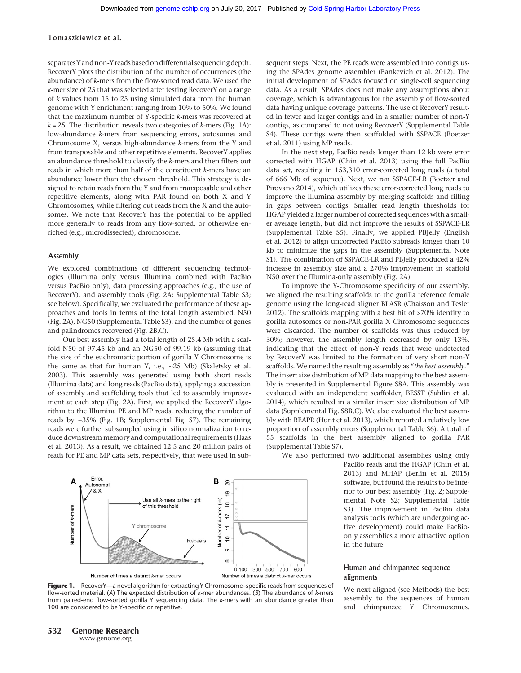separates Y and non-Y reads based on differential sequencing depth. RecoverY plots the distribution of the number of occurrences (the abundance) of k-mers from the flow-sorted read data. We used the k-mer size of 25 that was selected after testing RecoverY on a range of k values from 15 to 25 using simulated data from the human genome with Y enrichment ranging from 10% to 50%. We found that the maximum number of Y-specific k-mers was recovered at  $k = 25$ . The distribution reveals two categories of  $k$ -mers (Fig. 1A): low-abundance k-mers from sequencing errors, autosomes and Chromosome X, versus high-abundance k-mers from the Y and from transposable and other repetitive elements. RecoverY applies an abundance threshold to classify the k-mers and then filters out reads in which more than half of the constituent k-mers have an abundance lower than the chosen threshold. This strategy is designed to retain reads from the Y and from transposable and other repetitive elements, along with PAR found on both X and Y Chromosomes, while filtering out reads from the X and the autosomes. We note that RecoverY has the potential to be applied more generally to reads from any flow-sorted, or otherwise enriched (e.g., microdissected), chromosome.

### Assembly

We explored combinations of different sequencing technologies (Illumina only versus Illumina combined with PacBio versus PacBio only), data processing approaches (e.g., the use of RecoverY), and assembly tools (Fig. 2A; Supplemental Table S3; see below). Specifically, we evaluated the performance of these approaches and tools in terms of the total length assembled, N50 (Fig. 2A), NG50 (Supplemental Table S3), and the number of genes and palindromes recovered (Fig. 2B,C).

Our best assembly had a total length of 25.4 Mb with a scaffold N50 of 97.45 kb and an NG50 of 99.19 kb (assuming that the size of the euchromatic portion of gorilla Y Chromosome is the same as that for human Y, i.e., ∼25 Mb) (Skaletsky et al. 2003). This assembly was generated using both short reads (Illumina data) and long reads (PacBio data), applying a succession of assembly and scaffolding tools that led to assembly improvement at each step (Fig. 2A). First, we applied the RecoverY algorithm to the Illumina PE and MP reads, reducing the number of reads by ∼35% (Fig. 1B; Supplemental Fig. S7). The remaining reads were further subsampled using in silico normalization to reduce downstream memory and computational requirements (Haas et al. 2013). As a result, we obtained 12.5 and 20 million pairs of reads for PE and MP data sets, respectively, that were used in sub-



Figure 1. RecoverY—a novel algorithm for extracting Y Chromosome–specific reads from sequences of flow-sorted material. (A) The expected distribution of k-mer abundances. (B) The abundance of k-mers from paired-end flow-sorted gorilla Y sequencing data. The k-mers with an abundance greater than 100 are considered to be Y-specific or repetitive.

sequent steps. Next, the PE reads were assembled into contigs using the SPAdes genome assembler (Bankevich et al. 2012). The initial development of SPAdes focused on single-cell sequencing data. As a result, SPAdes does not make any assumptions about coverage, which is advantageous for the assembly of flow-sorted data having unique coverage patterns. The use of RecoverY resulted in fewer and larger contigs and in a smaller number of non-Y contigs, as compared to not using RecoverY (Supplemental Table S4). These contigs were then scaffolded with SSPACE (Boetzer et al. 2011) using MP reads.

In the next step, PacBio reads longer than 12 kb were error corrected with HGAP (Chin et al. 2013) using the full PacBio data set, resulting in 153,310 error-corrected long reads (a total of 666 Mb of sequence). Next, we ran SSPACE-LR (Boetzer and Pirovano 2014), which utilizes these error-corrected long reads to improve the Illumina assembly by merging scaffolds and filling in gaps between contigs. Smaller read length thresholds for HGAP yielded a larger number of corrected sequences with a smaller average length, but did not improve the results of SSPACE-LR (Supplemental Table S5). Finally, we applied PBJelly (English et al. 2012) to align uncorrected PacBio subreads longer than 10 kb to minimize the gaps in the assembly (Supplemental Note S1). The combination of SSPACE-LR and PBJelly produced a 42% increase in assembly size and a 270% improvement in scaffold N50 over the Illumina-only assembly (Fig. 2A).

To improve the Y-Chromosome specificity of our assembly, we aligned the resulting scaffolds to the gorilla reference female genome using the long-read aligner BLASR (Chaisson and Tesler 2012). The scaffolds mapping with a best hit of >70% identity to gorilla autosomes or non-PAR gorilla X Chromosome sequences were discarded. The number of scaffolds was thus reduced by 30%; however, the assembly length decreased by only 13%, indicating that the effect of non-Y reads that were undetected by RecoverY was limited to the formation of very short non-Y scaffolds. We named the resulting assembly as "the best assembly." The insert size distribution of MP data mapping to the best assembly is presented in Supplemental Figure S8A. This assembly was evaluated with an independent scaffolder, BESST (Sahlin et al. 2014), which resulted in a similar insert size distribution of MP data (Supplemental Fig. S8B,C). We also evaluated the best assembly with REAPR (Hunt et al. 2013), which reported a relatively low proportion of assembly errors (Supplemental Table S6). A total of 55 scaffolds in the best assembly aligned to gorilla PAR (Supplemental Table S7).

We also performed two additional assemblies using only

PacBio reads and the HGAP (Chin et al. 2013) and MHAP (Berlin et al. 2015) software, but found the results to be inferior to our best assembly (Fig. 2; Supplemental Note S2; Supplemental Table S3). The improvement in PacBio data analysis tools (which are undergoing active development) could make PacBioonly assemblies a more attractive option in the future.

### Human and chimpanzee sequence alignments

We next aligned (see Methods) the best assembly to the sequences of human and chimpanzee Y Chromosomes.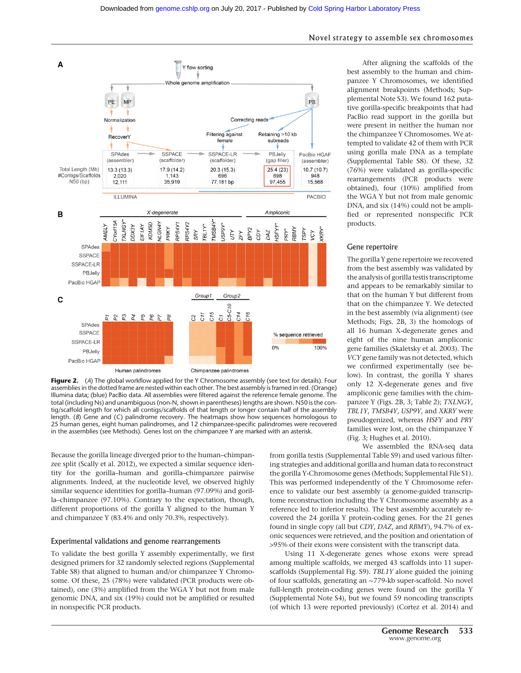

**Figure 2.** (A) The global workflow applied for the Y Chromosome assembly (see text for details). Four assemblies in the dotted frame are nested within each other. The best assembly is framed in red. (Orange) Illumina data; (blue) PacBio data. All assemblies were filtered against the reference female genome. The total (including Ns) and unambiguous (non-N, shown in parentheses) lengths are shown. N50 is the contig/scaffold length for which all contigs/scaffolds of that length or longer contain half of the assembly length. (B) Gene and (C) palindrome recovery. The heatmaps show how sequences homologous to 25 human genes, eight human palindromes, and 12 chimpanzee-specific palindromes were recovered in the assemblies (see Methods). Genes lost on the chimpanzee Y are marked with an asterisk.

Because the gorilla lineage diverged prior to the human–chimpanzee split (Scally et al. 2012), we expected a similar sequence identity for the gorilla–human and gorilla–chimpanzee pairwise alignments. Indeed, at the nucleotide level, we observed highly similar sequence identities for gorilla–human (97.09%) and gorilla–chimpanzee (97.10%). Contrary to the expectation, though, different proportions of the gorilla Y aligned to the human Y and chimpanzee Y (83.4% and only 70.3%, respectively).

### Experimental validations and genome rearrangements

To validate the best gorilla Y assembly experimentally, we first designed primers for 32 randomly selected regions (Supplemental Table S8) that aligned to human and/or chimpanzee Y Chromosome. Of these, 25 (78%) were validated (PCR products were obtained), one (3%) amplified from the WGA Y but not from male genomic DNA, and six (19%) could not be amplified or resulted in nonspecific PCR products.

After aligning the scaffolds of the best assembly to the human and chimpanzee Y Chromosomes, we identified alignment breakpoints (Methods; Supplemental Note S3). We found 162 putative gorilla-specific breakpoints that had PacBio read support in the gorilla but were present in neither the human nor the chimpanzee Y Chromosomes. We attempted to validate 42 of them with PCR using gorilla male DNA as a template (Supplemental Table S8). Of these, 32 (76%) were validated as gorilla-specific rearrangements (PCR products were obtained), four (10%) amplified from the WGA Y but not from male genomic DNA, and six (14%) could not be amplified or represented nonspecific PCR products.

### Gene repertoire

The gorilla Y gene repertoire we recovered from the best assembly was validated by the analysis of gorilla testis transcriptome and appears to be remarkably similar to that on the human Y but different from that on the chimpanzee Y. We detected in the best assembly (via alignment) (see Methods; Figs. 2B, 3) the homologs of all 16 human X-degenerate genes and eight of the nine human ampliconic gene families (Skaletsky et al. 2003). The VCY gene family was not detected, which we confirmed experimentally (see below). In contrast, the gorilla Y shares only 12 X-degenerate genes and five ampliconic gene families with the chimpanzee Y (Figs. 2B, 3; Table 2); TXLNGY, TBL1Y, TMSB4Y, USP9Y, and XKRY were pseudogenized, whereas HSFY and PRY families were lost, on the chimpanzee Y (Fig. 3; Hughes et al. 2010).

We assembled the RNA-seq data

from gorilla testis (Supplemental Table S9) and used various filtering strategies and additional gorilla and human data to reconstruct the gorilla Y-Chromosome genes (Methods; Supplemental File S1). This was performed independently of the Y Chromosome reference to validate our best assembly (a genome-guided transcriptome reconstruction including the Y Chromosome assembly as a reference led to inferior results). The best assembly accurately recovered the 24 gorilla Y protein-coding genes. For the 21 genes found in single copy (all but CDY, DAZ, and RBMY), 94.7% of exonic sequences were retrieved, and the position and orientation of >95% of their exons were consistent with the transcript data.

Using 11 X-degenerate genes whose exons were spread among multiple scaffolds, we merged 43 scaffolds into 11 superscaffolds (Supplemental Fig. S9). TBL1Y alone guided the joining of four scaffolds, generating an ∼779-kb super-scaffold. No novel full-length protein-coding genes were found on the gorilla Y (Supplemental Note S4), but we found 59 noncoding transcripts (of which 13 were reported previously) (Cortez et al. 2014) and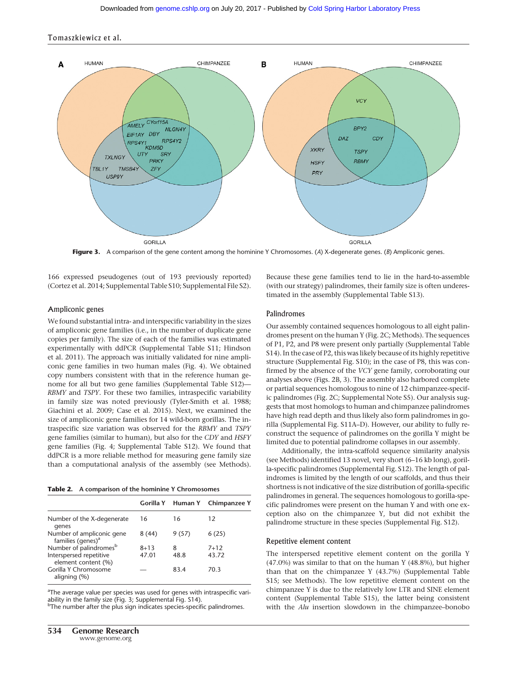

Figure 3. A comparison of the gene content among the hominine Y Chromosomes. (A) X-degenerate genes. (B) Ampliconic genes.

166 expressed pseudogenes (out of 193 previously reported) (Cortez et al. 2014; Supplemental Table S10; Supplemental File S2).

### Ampliconic genes

We found substantial intra- and interspecific variability in the sizes of ampliconic gene families (i.e., in the number of duplicate gene copies per family). The size of each of the families was estimated experimentally with ddPCR (Supplemental Table S11; Hindson et al. 2011). The approach was initially validated for nine ampliconic gene families in two human males (Fig. 4). We obtained copy numbers consistent with that in the reference human genome for all but two gene families (Supplemental Table S12)— RBMY and TSPY. For these two families, intraspecific variability in family size was noted previously (Tyler-Smith et al. 1988; Giachini et al. 2009; Case et al. 2015). Next, we examined the size of ampliconic gene families for 14 wild-born gorillas. The intraspecific size variation was observed for the RBMY and TSPY gene families (similar to human), but also for the CDY and HSFY gene families (Fig. 4; Supplemental Table S12). We found that ddPCR is a more reliable method for measuring gene family size than a computational analysis of the assembly (see Methods).

Table 2. A comparison of the hominine Y Chromosomes

|                                                            |          | Gorilla Y Human Y | Chimpanzee Y |
|------------------------------------------------------------|----------|-------------------|--------------|
| Number of the X-degenerate<br>genes                        | 16       | 16                | 12           |
| Number of ampliconic gene<br>families (genes) <sup>a</sup> | 8(44)    | 9(57)             | 6(25)        |
| Number of palindromes <sup>b</sup>                         | $8 + 13$ | 8                 | $7 + 12$     |
| Interspersed repetitive<br>element content (%)             | 47.01    | 48.8              | 43.72        |
| Gorilla Y Chromosome<br>aligning (%)                       |          | 83.4              | 70.3         |

<sup>a</sup>The average value per species was used for genes with intraspecific variability in the family size (Fig. 3; Supplemental Fig. S14).

<sup>b</sup>The number after the plus sign indicates species-specific palindromes.

Because these gene families tend to lie in the hard-to-assemble (with our strategy) palindromes, their family size is often underestimated in the assembly (Supplemental Table S13).

### Palindromes

Our assembly contained sequences homologous to all eight palindromes present on the human Y (Fig. 2C; Methods). The sequences of P1, P2, and P8 were present only partially (Supplemental Table S14). In the case of P2, this was likely because of its highly repetitive structure (Supplemental Fig. S10); in the case of P8, this was confirmed by the absence of the VCY gene family, corroborating our analyses above (Figs. 2B, 3). The assembly also harbored complete or partial sequences homologous to nine of 12 chimpanzee-specific palindromes (Fig. 2C; Supplemental Note S5). Our analysis suggests that most homologs to human and chimpanzee palindromes have high read depth and thus likely also form palindromes in gorilla (Supplemental Fig. S11A–D). However, our ability to fully reconstruct the sequence of palindromes on the gorilla Y might be limited due to potential palindrome collapses in our assembly.

Additionally, the intra-scaffold sequence similarity analysis (see Methods) identified 13 novel, very short (6–16 kb long), gorilla-specific palindromes (Supplemental Fig. S12). The length of palindromes is limited by the length of our scaffolds, and thus their shortness is not indicative of the size distribution of gorilla-specific palindromes in general. The sequences homologous to gorilla-specific palindromes were present on the human Y and with one exception also on the chimpanzee Y, but did not exhibit the palindrome structure in these species (Supplemental Fig. S12).

### Repetitive element content

The interspersed repetitive element content on the gorilla Y (47.0%) was similar to that on the human Y (48.8%), but higher than that on the chimpanzee Y (43.7%) (Supplemental Table S15; see Methods). The low repetitive element content on the chimpanzee Y is due to the relatively low LTR and SINE element content (Supplemental Table S15), the latter being consistent with the Alu insertion slowdown in the chimpanzee–bonobo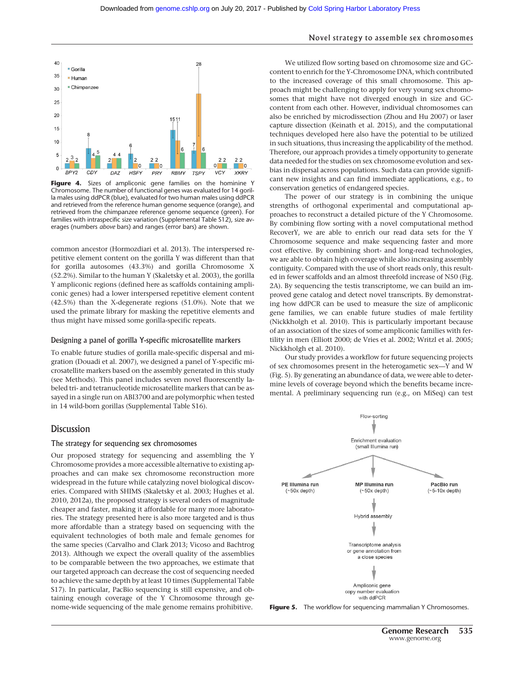

Figure 4. Sizes of ampliconic gene families on the hominine Y Chromosome. The number of functional genes was evaluated for 14 gorilla males using ddPCR (blue), evaluated for two human males using ddPCR and retrieved from the reference human genome sequence (orange), and retrieved from the chimpanzee reference genome sequence (green). For families with intraspecific size variation (Supplemental Table S12), size averages (numbers above bars) and ranges (error bars) are shown.

common ancestor (Hormozdiari et al. 2013). The interspersed repetitive element content on the gorilla Y was different than that for gorilla autosomes (43.3%) and gorilla Chromosome X (52.2%). Similar to the human Y (Skaletsky et al. 2003), the gorilla Y ampliconic regions (defined here as scaffolds containing ampliconic genes) had a lower interspersed repetitive element content (42.5%) than the X-degenerate regions (51.0%). Note that we used the primate library for masking the repetitive elements and thus might have missed some gorilla-specific repeats.

### Designing a panel of gorilla Y-specific microsatellite markers

To enable future studies of gorilla male-specific dispersal and migration (Douadi et al. 2007), we designed a panel of Y-specific microsatellite markers based on the assembly generated in this study (see Methods). This panel includes seven novel fluorescently labeled tri- and tetranucleotide microsatellite markers that can be assayed in a single run on ABI3700 and are polymorphic when tested in 14 wild-born gorillas (Supplemental Table S16).

### **Discussion**

#### The strategy for sequencing sex chromosomes

Our proposed strategy for sequencing and assembling the Y Chromosome provides a more accessible alternative to existing approaches and can make sex chromosome reconstruction more widespread in the future while catalyzing novel biological discoveries. Compared with SHIMS (Skaletsky et al. 2003; Hughes et al. 2010, 2012a), the proposed strategy is several orders of magnitude cheaper and faster, making it affordable for many more laboratories. The strategy presented here is also more targeted and is thus more affordable than a strategy based on sequencing with the equivalent technologies of both male and female genomes for the same species (Carvalho and Clark 2013; Vicoso and Bachtrog 2013). Although we expect the overall quality of the assemblies to be comparable between the two approaches, we estimate that our targeted approach can decrease the cost of sequencing needed to achieve the same depth by at least 10 times (Supplemental Table S17). In particular, PacBio sequencing is still expensive, and obtaining enough coverage of the Y Chromosome through genome-wide sequencing of the male genome remains prohibitive.

We utilized flow sorting based on chromosome size and GCcontent to enrich for the Y-Chromosome DNA, which contributed to the increased coverage of this small chromosome. This approach might be challenging to apply for very young sex chromosomes that might have not diverged enough in size and GCcontent from each other. However, individual chromosomes can also be enriched by microdissection (Zhou and Hu 2007) or laser capture dissection (Keinath et al. 2015), and the computational techniques developed here also have the potential to be utilized in such situations, thus increasing the applicability of the method. Therefore, our approach provides a timely opportunity to generate data needed for the studies on sex chromosome evolution and sexbias in dispersal across populations. Such data can provide significant new insights and can find immediate applications, e.g., to conservation genetics of endangered species.

The power of our strategy is in combining the unique strengths of orthogonal experimental and computational approaches to reconstruct a detailed picture of the Y Chromosome. By combining flow sorting with a novel computational method RecoverY, we are able to enrich our read data sets for the Y Chromosome sequence and make sequencing faster and more cost effective. By combining short- and long-read technologies, we are able to obtain high coverage while also increasing assembly contiguity. Compared with the use of short reads only, this resulted in fewer scaffolds and an almost threefold increase of N50 (Fig. 2A). By sequencing the testis transcriptome, we can build an improved gene catalog and detect novel transcripts. By demonstrating how ddPCR can be used to measure the size of ampliconic gene families, we can enable future studies of male fertility (Nickkholgh et al. 2010). This is particularly important because of an association of the sizes of some ampliconic families with fertility in men (Elliott 2000; de Vries et al. 2002; Writzl et al. 2005; Nickkholgh et al. 2010).

Our study provides a workflow for future sequencing projects of sex chromosomes present in the heterogametic sex—Y and W (Fig. 5). By generating an abundance of data, we were able to determine levels of coverage beyond which the benefits became incremental. A preliminary sequencing run (e.g., on MiSeq) can test



Figure 5. The workflow for sequencing mammalian Y Chromosomes.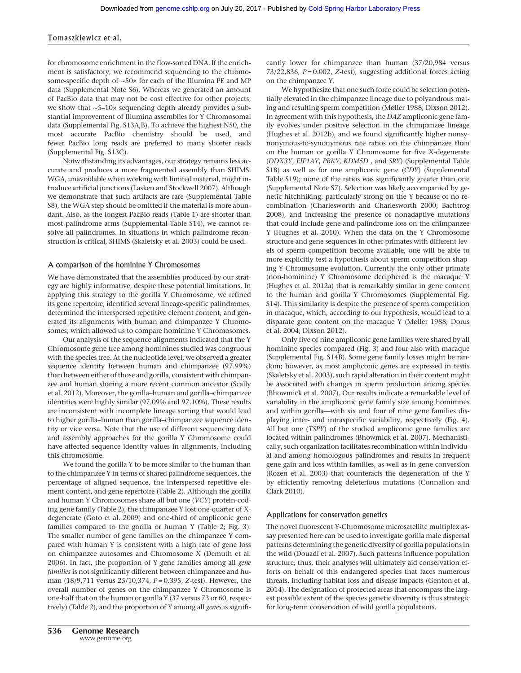for chromosome enrichment in the flow-sorted DNA. If the enrichment is satisfactory, we recommend sequencing to the chromosome-specific depth of ∼50× for each of the Illumina PE and MP data (Supplemental Note S6). Whereas we generated an amount of PacBio data that may not be cost effective for other projects, we show that ∼5–10× sequencing depth already provides a substantial improvement of Illumina assemblies for Y Chromosomal data (Supplemental Fig. S13A,B). To achieve the highest N50, the most accurate PacBio chemistry should be used, and fewer PacBio long reads are preferred to many shorter reads (Supplemental Fig. S13C).

Notwithstanding its advantages, our strategy remains less accurate and produces a more fragmented assembly than SHIMS. WGA, unavoidable when working with limited material, might introduce artificial junctions (Lasken and Stockwell 2007). Although we demonstrate that such artifacts are rare (Supplemental Table S8), the WGA step should be omitted if the material is more abundant. Also, as the longest PacBio reads (Table 1) are shorter than most palindrome arms (Supplemental Table S14), we cannot resolve all palindromes. In situations in which palindrome reconstruction is critical, SHIMS (Skaletsky et al. 2003) could be used.

### A comparison of the hominine Y Chromosomes

We have demonstrated that the assemblies produced by our strategy are highly informative, despite these potential limitations. In applying this strategy to the gorilla Y Chromosome, we refined its gene repertoire, identified several lineage-specific palindromes, determined the interspersed repetitive element content, and generated its alignments with human and chimpanzee Y Chromosomes, which allowed us to compare hominine Y Chromosomes.

Our analysis of the sequence alignments indicated that the Y Chromosome gene tree among hominines studied was congruous with the species tree. At the nucleotide level, we observed a greater sequence identity between human and chimpanzee (97.99%) than between either of those and gorilla, consistent with chimpanzee and human sharing a more recent common ancestor (Scally et al. 2012). Moreover, the gorilla–human and gorilla–chimpanzee identities were highly similar (97.09% and 97.10%). These results are inconsistent with incomplete lineage sorting that would lead to higher gorilla–human than gorilla–chimpanzee sequence identity or vice versa. Note that the use of different sequencing data and assembly approaches for the gorilla Y Chromosome could have affected sequence identity values in alignments, including this chromosome.

We found the gorilla Y to be more similar to the human than to the chimpanzee Y in terms of shared palindrome sequences, the percentage of aligned sequence, the interspersed repetitive element content, and gene repertoire (Table 2). Although the gorilla and human Y Chromosomes share all but one (VCY) protein-coding gene family (Table 2), the chimpanzee Y lost one-quarter of Xdegenerate (Goto et al. 2009) and one-third of ampliconic gene families compared to the gorilla or human Y (Table 2; Fig. 3). The smaller number of gene families on the chimpanzee Y compared with human Y is consistent with a high rate of gene loss on chimpanzee autosomes and Chromosome X (Demuth et al. 2006). In fact, the proportion of Y gene families among all gene families is not significantly different between chimpanzee and human (18/9,711 versus 25/10,374, P = 0.395, Z-test). However, the overall number of genes on the chimpanzee Y Chromosome is one-half that on the human or gorilla Y (37 versus 73 or 60, respectively) (Table 2), and the proportion of Y among all genes is signifi-

We hypothesize that one such force could be selection potentially elevated in the chimpanzee lineage due to polyandrous mating and resulting sperm competition (Møller 1988; Dixson 2012). In agreement with this hypothesis, the DAZ ampliconic gene family evolves under positive selection in the chimpanzee lineage (Hughes et al. 2012b), and we found significantly higher nonsynonymous-to-synonymous rate ratios on the chimpanzee than on the human or gorilla Y Chromosome for five X-degenerate (DDX3Y, EIF1AY, PRKY, KDM5D , and SRY) (Supplemental Table S18) as well as for one ampliconic gene (CDY) (Supplemental Table S19); none of the ratios was significantly greater than one (Supplemental Note S7). Selection was likely accompanied by genetic hitchhiking, particularly strong on the Y because of no recombination (Charlesworth and Charlesworth 2000; Bachtrog 2008), and increasing the presence of nonadaptive mutations that could include gene and palindrome loss on the chimpanzee Y (Hughes et al. 2010). When the data on the Y Chromosome structure and gene sequences in other primates with different levels of sperm competition become available, one will be able to more explicitly test a hypothesis about sperm competition shaping Y Chromosome evolution. Currently the only other primate (non-hominine) Y Chromosome deciphered is the macaque Y (Hughes et al. 2012a) that is remarkably similar in gene content to the human and gorilla Y Chromosomes (Supplemental Fig. S14). This similarity is despite the presence of sperm competition in macaque, which, according to our hypothesis, would lead to a disparate gene content on the macaque Y (Møller 1988; Dorus et al. 2004; Dixson 2012).

Only five of nine ampliconic gene families were shared by all hominine species compared (Fig. 3) and four also with macaque (Supplemental Fig. S14B). Some gene family losses might be random; however, as most ampliconic genes are expressed in testis (Skaletsky et al. 2003), such rapid alteration in their content might be associated with changes in sperm production among species (Bhowmick et al. 2007). Our results indicate a remarkable level of variability in the ampliconic gene family size among hominines and within gorilla—with six and four of nine gene families displaying inter- and intraspecific variability, respectively (Fig. 4). All but one (TSPY) of the studied ampliconic gene families are located within palindromes (Bhowmick et al. 2007). Mechanistically, such organization facilitates recombination within individual and among homologous palindromes and results in frequent gene gain and loss within families, as well as in gene conversion (Rozen et al. 2003) that counteracts the degeneration of the Y by efficiently removing deleterious mutations (Connallon and Clark 2010).

### Applications for conservation genetics

The novel fluorescent Y-Chromosome microsatellite multiplex assay presented here can be used to investigate gorilla male dispersal patterns determining the genetic diversity of gorilla populations in the wild (Douadi et al. 2007). Such patterns influence population structure; thus, their analyses will ultimately aid conservation efforts on behalf of this endangered species that faces numerous threats, including habitat loss and disease impacts (Genton et al. 2014). The designation of protected areas that encompass the largest possible extent of the species genetic diversity is thus strategic for long-term conservation of wild gorilla populations.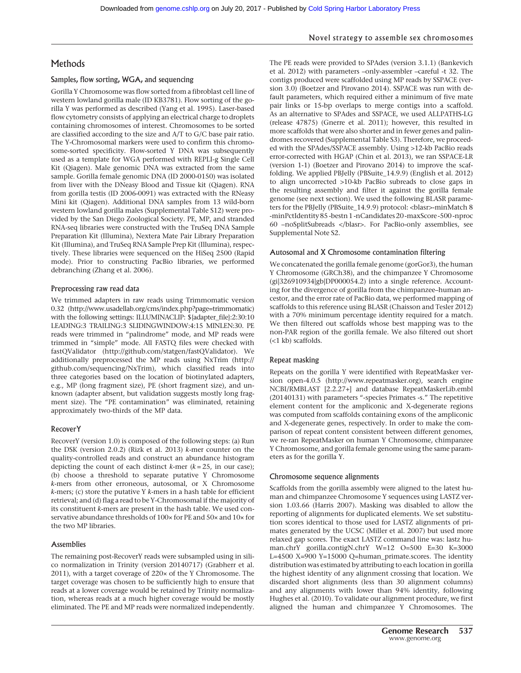# Methods

# Samples, flow sorting, WGA, and sequencing

Gorilla Y Chromosome was flow sorted from a fibroblast cell line of western lowland gorilla male (ID KB3781). Flow sorting of the gorilla Y was performed as described (Yang et al. 1995). Laser-based flow cytometry consists of applying an electrical charge to droplets containing chromosomes of interest. Chromosomes to be sorted are classified according to the size and A/T to G/C base pair ratio. The Y-Chromosomal markers were used to confirm this chromosome-sorted specificity. Flow-sorted Y DNA was subsequently used as a template for WGA performed with REPLI-g Single Cell Kit (Qiagen). Male genomic DNA was extracted from the same sample. Gorilla female genomic DNA (ID 2000-0150) was isolated from liver with the DNeasy Blood and Tissue kit (Qiagen). RNA from gorilla testis (ID 2006-0091) was extracted with the RNeasy Mini kit (Qiagen). Additional DNA samples from 13 wild-born western lowland gorilla males (Supplemental Table S12) were provided by the San Diego Zoological Society. PE, MP, and stranded RNA-seq libraries were constructed with the TruSeq DNA Sample Preparation Kit (Illumina), Nextera Mate Pair Library Preparation Kit (Illumina), and TruSeq RNA Sample Prep Kit (Illumina), respectively. These libraries were sequenced on the HiSeq 2500 (Rapid mode). Prior to constructing PacBio libraries, we performed debranching (Zhang et al. 2006).

# Preprocessing raw read data

We trimmed adapters in raw reads using Trimmomatic version 0.32 [\(http://www.usadellab.org/cms/index.php?page=trimmomatic](http://www.usadellab.org/cms/index.php?page=trimmomatic)) with the following settings: ILLUMINACLIP: \${adapter\_file}:2:30:10 LEADING:3 TRAILING:3 SLIDINGWINDOW:4:15 MINLEN:30. PE reads were trimmed in "palindrome" mode, and MP reads were trimmed in "simple" mode. All FASTQ files were checked with fastQValidator [\(http://github.com/statgen/fastQValidator](http://github.com/statgen/fastQValidator)). We additionally preprocessed the MP reads using NxTrim ([http://](http://github.com/sequencing/NxTrim) [github.com/sequencing/NxTrim\)](http://github.com/sequencing/NxTrim), which classified reads into three categories based on the location of biotinylated adapters, e.g., MP (long fragment size), PE (short fragment size), and unknown (adapter absent, but validation suggests mostly long fragment size). The "PE contamination" was eliminated, retaining approximately two-thirds of the MP data.

# RecoverY

RecoverY (version 1.0) is composed of the following steps: (a) Run the DSK (version 2.0.2) (Rizk et al. 2013) k-mer counter on the quality-controlled reads and construct an abundance histogram depicting the count of each distinct  $k$ -mer  $(k = 25$ , in our case); (b) choose a threshold to separate putative Y Chromosome k-mers from other erroneous, autosomal, or X Chromosome  $k$ -mers; (c) store the putative Y  $k$ -mers in a hash table for efficient retrieval; and (d) flag a read to be Y-Chromosomal if the majority of its constituent k-mers are present in the hash table. We used conservative abundance thresholds of 100× for PE and 50× and 10× for the two MP libraries.

# Assemblies

The remaining post-RecoverY reads were subsampled using in silico normalization in Trinity (version 20140717) (Grabherr et al. 2011), with a target coverage of 220× of the Y Chromosome. The target coverage was chosen to be sufficiently high to ensure that reads at a lower coverage would be retained by Trinity normalization, whereas reads at a much higher coverage would be mostly eliminated. The PE and MP reads were normalized independently. The PE reads were provided to SPAdes (version 3.1.1) (Bankevich et al. 2012) with parameters –only-assembler –careful -t 32. The contigs produced were scaffolded using MP reads by SSPACE (version 3.0) (Boetzer and Pirovano 2014). SSPACE was run with default parameters, which required either a minimum of five mate pair links or 15-bp overlaps to merge contigs into a scaffold. As an alternative to SPAdes and SSPACE, we used ALLPATHS-LG (release 47875) (Gnerre et al. 2011); however, this resulted in more scaffolds that were also shorter and in fewer genes and palindromes recovered (Supplemental Table S3). Therefore, we proceeded with the SPAdes/SSPACE assembly. Using >12-kb PacBio reads error-corrected with HGAP (Chin et al. 2013), we ran SSPACE-LR (version 1-1) (Boetzer and Pirovano 2014) to improve the scaffolding. We applied PBJelly (PBSuite\_14.9.9) (English et al. 2012) to align uncorrected >10-kb PacBio subreads to close gaps in the resulting assembly and filter it against the gorilla female genome (see next section). We used the following BLASR parameters for the PBJelly (PBSuite\_14.9.9) protocol: <br/> <br/>blasr>-minMatch 8 -minPctIdentity 85 -bestn 1 -nCandidates 20 -maxScore -500 -nproc 60 –noSplitSubreads </blasr>. For PacBio-only assemblies, see Supplemental Note S2.

# Autosomal and X Chromosome contamination filtering

We concatenated the gorilla female genome (gorGor3), the human Y Chromosome (GRCh38), and the chimpanzee Y Chromosome (gi|326910934|gb|DP000054.2) into a single reference. Accounting for the divergence of gorilla from the chimpanzee–human ancestor, and the error rate of PacBio data, we performed mapping of scaffolds to this reference using BLASR (Chaisson and Tesler 2012) with a 70% minimum percentage identity required for a match. We then filtered out scaffolds whose best mapping was to the non-PAR region of the gorilla female. We also filtered out short (<1 kb) scaffolds.

# Repeat masking

Repeats on the gorilla Y were identified with RepeatMasker version open-4.0.5 [\(http://www.repeatmasker.org](http://www.repeatmasker.org)), search engine NCBI/RMBLAST [2.2.27+] and database RepeatMaskerLib.embl (20140131) with parameters "-species Primates -s." The repetitive element content for the ampliconic and X-degenerate regions was computed from scaffolds containing exons of the ampliconic and X-degenerate genes, respectively. In order to make the comparison of repeat content consistent between different genomes, we re-ran RepeatMasker on human Y Chromosome, chimpanzee Y Chromosome, and gorilla female genome using the same parameters as for the gorilla Y.

# Chromosome sequence alignments

Scaffolds from the gorilla assembly were aligned to the latest human and chimpanzee Chromosome Y sequences using LASTZ version 1.03.66 (Harris 2007). Masking was disabled to allow the reporting of alignments for duplicated elements. We set substitution scores identical to those used for LASTZ alignments of primates generated by the UCSC (Miller et al. 2007) but used more relaxed gap scores. The exact LASTZ command line was: lastz human.chrY gorilla.contigN.chrY W=12 O=500 E=30 K=3000 L=4500 X=900 Y=15000 Q=human\_primate.scores. The identity distribution was estimated by attributing to each location in gorilla the highest identity of any alignment crossing that location. We discarded short alignments (less than 30 alignment columns) and any alignments with lower than 94% identity, following Hughes et al. (2010). To validate our alignment procedure, we first aligned the human and chimpanzee Y Chromosomes. The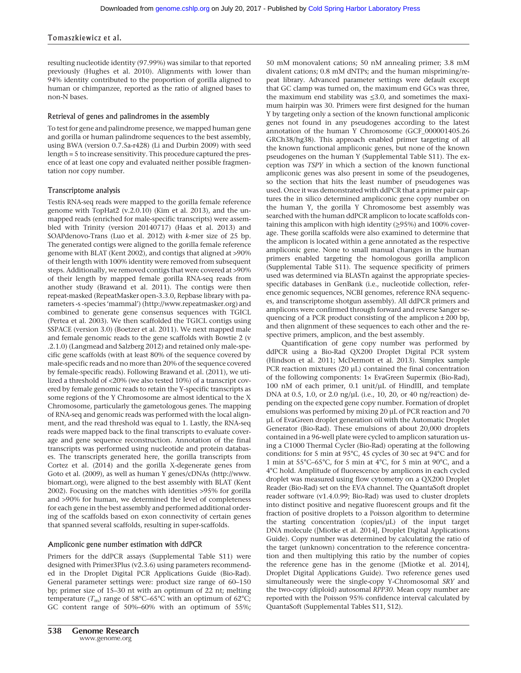resulting nucleotide identity (97.99%) was similar to that reported previously (Hughes et al. 2010). Alignments with lower than 94% identity contributed to the proportion of gorilla aligned to human or chimpanzee, reported as the ratio of aligned bases to non-N bases.

### Retrieval of genes and palindromes in the assembly

To test for gene and palindrome presence, we mapped human gene and gorilla or human palindrome sequences to the best assembly, using BWA (version 0.7.5a-r428) (Li and Durbin 2009) with seed length = 5 to increase sensitivity. This procedure captured the presence of at least one copy and evaluated neither possible fragmentation nor copy number.

### Transcriptome analysis

Testis RNA-seq reads were mapped to the gorilla female reference genome with TopHat2 (v.2.0.10) (Kim et al. 2013), and the unmapped reads (enriched for male-specific transcripts) were assembled with Trinity (version 20140717) (Haas et al. 2013) and SOAPdenovo-Trans (Luo et al. 2012) with k-mer size of 25 bp. The generated contigs were aligned to the gorilla female reference genome with BLAT (Kent 2002), and contigs that aligned at >90% of their length with 100% identity were removed from subsequent steps. Additionally, we removed contigs that were covered at >90% of their length by mapped female gorilla RNA-seq reads from another study (Brawand et al. 2011). The contigs were then repeat-masked (RepeatMasker open-3.3.0, Repbase library with parameters -s -species 'mammal') ([http://www.repeatmasker.org\)](http://www.repeatmasker.org) and combined to generate gene consensus sequences with TGICL (Pertea et al. 2003). We then scaffolded the TGICL contigs using SSPACE (version 3.0) (Boetzer et al. 2011). We next mapped male and female genomic reads to the gene scaffolds with Bowtie 2 (v .2.1.0) (Langmead and Salzberg 2012) and retained only male-specific gene scaffolds (with at least 80% of the sequence covered by male-specific reads and no more than 20% of the sequence covered by female-specific reads). Following Brawand et al. (2011), we utilized a threshold of <20% (we also tested 10%) of a transcript covered by female genomic reads to retain the Y-specific transcripts as some regions of the Y Chromosome are almost identical to the X Chromosome, particularly the gametologous genes. The mapping of RNA-seq and genomic reads was performed with the local alignment, and the read threshold was equal to 1. Lastly, the RNA-seq reads were mapped back to the final transcripts to evaluate coverage and gene sequence reconstruction. Annotation of the final transcripts was performed using nucleotide and protein databases. The transcripts generated here, the gorilla transcripts from Cortez et al. (2014) and the gorilla X-degenerate genes from Goto et al. (2009), as well as human Y genes/cDNAs ([http://www.](http://www.biomart.org) [biomart.org\)](http://www.biomart.org), were aligned to the best assembly with BLAT (Kent 2002). Focusing on the matches with identities >95% for gorilla and >90% for human, we determined the level of completeness for each gene in the best assembly and performed additional ordering of the scaffolds based on exon connectivity of certain genes that spanned several scaffolds, resulting in super-scaffolds.

# Ampliconic gene number estimation with ddPCR

Primers for the ddPCR assays (Supplemental Table S11) were designed with Primer3Plus (v2.3.6) using parameters recommended in the Droplet Digital PCR Applications Guide (Bio-Rad). General parameter settings were: product size range of 60–150 bp; primer size of 15–30 nt with an optimum of 22 nt; melting temperature  $(T_m)$  range of 58°C–65°C with an optimum of 62°C; GC content range of 50%–60% with an optimum of 55%; 50 mM monovalent cations; 50 nM annealing primer; 3.8 mM divalent cations; 0.8 mM dNTPs; and the human mispriming/repeat library. Advanced parameter settings were default except that GC clamp was turned on, the maximum end GCs was three, the maximum end stability was ≤3.0, and sometimes the maximum hairpin was 30. Primers were first designed for the human Y by targeting only a section of the known functional ampliconic genes not found in any pseudogenes according to the latest annotation of the human Y Chromosome (GCF\_000001405.26 GRCh38/hg38). This approach enabled primer targeting of all the known functional ampliconic genes, but none of the known pseudogenes on the human Y (Supplemental Table S11). The exception was TSPY in which a section of the known functional ampliconic genes was also present in some of the pseudogenes, so the section that hits the least number of pseudogenes was used. Once it was demonstrated with ddPCR that a primer pair captures the in silico determined ampliconic gene copy number on the human Y, the gorilla Y Chromosome best assembly was searched with the human ddPCR amplicon to locate scaffolds containing this amplicon with high identity (≥95%) and 100% coverage. These gorilla scaffolds were also examined to determine that the amplicon is located within a gene annotated as the respective ampliconic gene. None to small manual changes in the human primers enabled targeting the homologous gorilla amplicon (Supplemental Table S11). The sequence specificity of primers used was determined via BLASTn against the appropriate speciesspecific databases in GenBank (i.e., nucleotide collection, reference genomic sequences, NCBI genomes, reference RNA sequences, and transcriptome shotgun assembly). All ddPCR primers and amplicons were confirmed through forward and reverse Sanger sequencing of a PCR product consisting of the amplicon ± 200 bp, and then alignment of these sequences to each other and the respective primers, amplicon, and the best assembly.

Quantification of gene copy number was performed by ddPCR using a Bio-Rad QX200 Droplet Digital PCR system (Hindson et al. 2011; McDermott et al. 2013). Simplex sample PCR reaction mixtures (20 µL) contained the final concentration of the following components: 1× EvaGreen Supermix (Bio-Rad), 100 nM of each primer, 0.1 unit/µL of HindIII, and template DNA at 0.5, 1.0, or 2.0 ng/µL (i.e., 10, 20, or 40 ng/reaction) depending on the expected gene copy number. Formation of droplet emulsions was performed by mixing 20 µL of PCR reaction and 70 µL of EvaGreen droplet generation oil with the Automatic Droplet Generator (Bio-Rad). These emulsions of about 20,000 droplets contained in a 96-well plate were cycled to amplicon saturation using a C1000 Thermal Cycler (Bio-Rad) operating at the following conditions: for 5 min at 95°C, 45 cycles of 30 sec at 94°C and for 1 min at 55°C–65°C, for 5 min at 4°C, for 5 min at 90°C, and a 4°C hold. Amplitude of fluorescence by amplicons in each cycled droplet was measured using flow cytometry on a QX200 Droplet Reader (Bio-Rad) set on the EVA channel. The QuantaSoft droplet reader software (v1.4.0.99; Bio-Rad) was used to cluster droplets into distinct positive and negative fluorescent groups and fit the fraction of positive droplets to a Poisson algorithm to determine the starting concentration (copies/µL) of the input target DNA molecule ([Miotke et al. 2014], Droplet Digital Applications Guide). Copy number was determined by calculating the ratio of the target (unknown) concentration to the reference concentration and then multiplying this ratio by the number of copies the reference gene has in the genome ([Miotke et al. 2014], Droplet Digital Applications Guide). Two reference genes used simultaneously were the single-copy Y-Chromosomal SRY and the two-copy (diploid) autosomal RPP30. Mean copy number are reported with the Poisson 95% confidence interval calculated by QuantaSoft (Supplemental Tables S11, S12).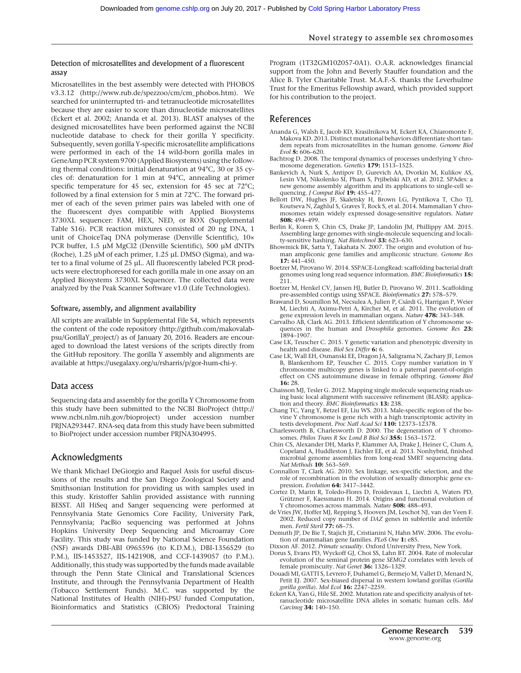### Detection of microsatellites and development of a fluorescent assay

Microsatellites in the best assembly were detected with PHOBOS v3.3.12 ([http://www.rub.de/spezzoo/cm/cm\\_phobos.htm](http://www.rub.de/spezzoo/cm/cm_phobos.htm)). We searched for uninterrupted tri- and tetranucleotide microsatellites because they are easier to score than dinucleotide microsatellites (Eckert et al. 2002; Ananda et al. 2013). BLAST analyses of the designed microsatellites have been performed against the NCBI nucleotide database to check for their gorilla Y specificity. Subsequently, seven gorilla Y-specific microsatellite amplifications were performed in each of the 14 wild-born gorilla males in GeneAmp PCR system 9700 (Applied Biosystems) using the following thermal conditions: initial denaturation at 94°C, 30 or 35 cycles of: denaturation for 1 min at 94°C, annealing at primer specific temperature for 45 sec, extension for 45 sec at 72°C; followed by a final extension for 5 min at 72°C. The forward primer of each of the seven primer pairs was labeled with one of the fluorescent dyes compatible with Applied Biosystems 3730XL sequencer: FAM, HEX, NED, or ROX (Supplemental Table S16). PCR reaction mixtures consisted of 20 ng DNA, 1 unit of ChoiceTaq DNA polymerase (Denville Scientific), 10× PCR buffer, 1.5 µM MgCl2 (Denville Scientific), 500 µM dNTPs (Roche), 1.25 µM of each primer, 1.25 µL DMSO (Sigma), and water to a final volume of 25 µL. All fluorescently labeled PCR products were electrophoresed for each gorilla male in one assay on an Applied Biosystems 3730XL Sequencer. The collected data were analyzed by the Peak Scanner Software v1.0 (Life Technologies).

### Software, assembly, and alignment availability

All scripts are available in Supplemental File S4, which represents the content of the code repository ([http://github.com/makovalab](http://github.com/makovalab-psu/GorillaY_project/)[psu/GorillaY\\_project/](http://github.com/makovalab-psu/GorillaY_project/)) as of January 20, 2016. Readers are encouraged to download the latest versions of the scripts directly from the GitHub repository. The gorilla Y assembly and alignments are available at [https://usegalaxy.org/u/rsharris/p/gor-hum-chi-y.](https://usegalaxy.org/u/rsharris/p/gor-hum-chi-y)

# Data access

Sequencing data and assembly for the gorilla Y Chromosome from this study have been submitted to the NCBI BioProject ([http://](http://www.ncbi.nlm.nih.gov/bioproject) [www.ncbi.nlm.nih.gov/bioproject](http://www.ncbi.nlm.nih.gov/bioproject)) under accession number PRJNA293447. RNA-seq data from this study have been submitted to BioProject under accession number PRJNA304995.

# Acknowledgments

We thank Michael DeGiorgio and Raquel Assis for useful discussions of the results and the San Diego Zoological Society and Smithsonian Institution for providing us with samples used in this study. Kristoffer Sahlin provided assistance with running BESST. All HiSeq and Sanger sequencing were performed at Pennsylvania State Genomics Core Facility, University Park, Pennsylvania; PacBio sequencing was performed at Johns Hopkins University Deep Sequencing and Microarray Core Facility. This study was funded by National Science Foundation (NSF) awards DBI-ABI 0965596 (to K.D.M.), DBI-1356529 (to P.M.), IIS-1453527, IIS-1421908, and CCF-1439057 (to P.M.). Additionally, this study was supported by the funds made available through the Penn State Clinical and Translational Sciences Institute, and through the Pennsylvania Department of Health (Tobacco Settlement Funds). M.C. was supported by the National Institutes of Health (NIH)-PSU funded Computation, Bioinformatics and Statistics (CBIOS) Predoctoral Training

Program (1T32GM102057-0A1). O.A.R. acknowledges financial support from the John and Beverly Stauffer foundation and the Alice B. Tyler Charitable Trust. M.A.F.-S. thanks the Leverhulme Trust for the Emeritus Fellowship award, which provided support for his contribution to the project.

# References

- Ananda G, Walsh E, Jacob KD, Krasilnikova M, Eckert KA, Chiaromonte F, Makova KD. 2013. Distinct mutational behaviors differentiate short tandem repeats from microsatellites in the human genome. Genome Biol Evol 5: 606–620.
- Bachtrog D. 2008. The temporal dynamics of processes underlying Y chromosome degeneration. Genetics 179: 1513-1525.
- Bankevich A, Nurk S, Antipov D, Gurevich AA, Dvorkin M, Kulikov AS, Lesin VM, Nikolenko SI, Pham S, Prjibelski AD, et al. 2012. SPAdes: a new genome assembly algorithm and its applications to single-cell sequencing. J Comput Biol 19: 455-477.
- Bellott DW, Hughes JF, Skaletsky H, Brown LG, Pyntikova T, Cho TJ, Koutseva N, Zaghlul S, Graves T, Rock S, et al. 2014. Mammalian Y chromosomes retain widely expressed dosage-sensitive regulators. Nature 508: 494–499.
- Berlin K, Koren S, Chin CS, Drake JP, Landolin JM, Phillippy AM. 2015. Assembling large genomes with single-molecule sequencing and locality-sensitive hashing. Nat Biotechnol 33: 623-630.
- Bhowmick BK, Satta Y, Takahata N. 2007. The origin and evolution of human ampliconic gene families and ampliconic structure. Genome Res 17: 441–450.
- Boetzer M, Pirovano W. 2014. SSPACE-LongRead: scaffolding bacterial draft genomes using long read sequence information. BMC Bioinformatics 15: 211.
- Boetzer M, Henkel CV, Jansen HJ, Butler D, Pirovano W. 2011. Scaffolding pre-assembled contigs using SSPACE. Bioinformatics 27: 578–579.
- Brawand D, Soumillon M, Necsulea A, Julien P, Csárdi G, Harrigan P, Weier M, Liechti A, Aximu-Petri A, Kircher M, et al. 2011. The evolution of gene expression levels in mammalian organs. Nature 478: 343–348.
- Carvalho AB, Clark AG. 2013. Efficient identification of Y chromosome sequences in the human and Drosophila genomes. Genome Res 23: 1894–1907.
- Case LK, Teuscher C. 2015. Y genetic variation and phenotypic diversity in health and disease. Biol Sex Differ 6: 6.
- Case LK, Wall EH, Osmanski EE, Dragon JA, Saligrama N, Zachary JF, Lemos B, Blankenhorn EP, Teuscher C. 2015. Copy number variation in Y chromosome multicopy genes is linked to a paternal parent-of-origin effect on CNS autoimmune disease in female offspring. Genome Biol 16: 28.
- Chaisson MJ, Tesler G. 2012. Mapping single molecule sequencing reads using basic local alignment with successive refinement (BLASR): application and theory. BMC Bioinformatics 13: 238.
- Chang TC, Yang Y, Retzel EF, Liu WS. 2013. Male-specific region of the bovine Y chromosome is gene rich with a high transcriptomic activity in testis development. Proc Natl Acad Sci 110: 12373-12378.
- Charlesworth B, Charlesworth D. 2000. The degeneration of Y chromosomes. Philos Trans R Soc Lond B Biol Sci 355: 1563-1572.
- Chin CS, Alexander DH, Marks P, Klammer AA, Drake J, Heiner C, Clum A, Copeland A, Huddleston J, Eichler EE, et al. 2013. Nonhybrid, finished microbial genome assemblies from long-read SMRT sequencing data. Nat Methods 10: 563-569.
- Connallon T, Clark AG. 2010. Sex linkage, sex-specific selection, and the role of recombination in the evolution of sexually dimorphic gene expression. Evolution 64: 3417-3442.
- Cortez D, Marin R, Toledo-Flores D, Froidevaux L, Liechti A, Waters PD, Grützner F, Kaessmann H. 2014. Origins and functional evolution of Y chromosomes across mammals. Nature 508: 488–493.
- de Vries JW, Hoffer MJ, Repping S, Hoovers JM, Leschot NJ, van der Veen F. 2002. Reduced copy number of DAZ genes in subfertile and infertile men. Fertil Steril 77: 68-75.
- Demuth JP, De Bie T, Stajich JE, Cristianini N, Hahn MW. 2006. The evolution of mammalian gene families. PLoS One 1: e85.
- Dixson AF. 2012. Primate sexuality. Oxford University Press, New York.
- Dorus S, Evans PD, Wyckoff GJ, Choi SS, Lahn BT. 2004. Rate of molecular evolution of the seminal protein gene SEMG2 correlates with levels of female promiscuity. Nat Genet 36: 1326-1329.
- Douadi MI, GATTI S, Levrero F, Duhamel G, Bermejo M, Vallet D, Menard N, Petit EJ. 2007. Sex-biased dispersal in western lowland gorillas (Gorilla gorilla gorilla). Mol Ecol 16: 2247-2259.
- Eckert KA, Yan G, Hile SE. 2002. Mutation rate and specificity analysis of tetranucleotide microsatellite DNA alleles in somatic human cells. Mol Carcinog 34: 140–150.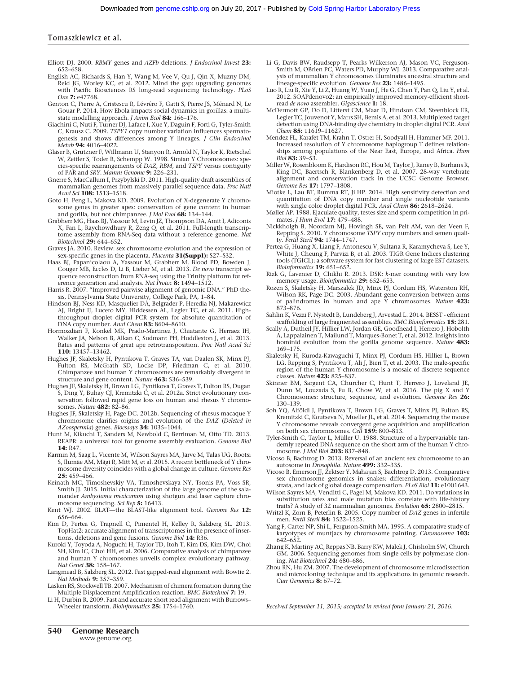Elliott DJ. 2000. RBMY genes and AZFb deletions. J Endocrinol Invest 23: 652–658.

- English AC, Richards S, Han Y, Wang M, Vee V, Qu J, Qin X, Muzny DM, Reid JG, Worley KC, et al. 2012. Mind the gap: upgrading genomes with Pacific Biosciences RS long-read sequencing technology. PLoS One 7: e47768.
- Genton C, Pierre A, Cristescu R, Lévréro F, Gatti S, Pierre JS, Ménard N, Le Gouar P. 2014. How Ebola impacts social dynamics in gorillas: a multistate modelling approach. J Anim Ecol 84: 166-176.
- Giachini C, Nuti F, Turner DJ, Laface I, Xue Y, Daguin F, Forti G, Tyler-Smith C, Krausz C. 2009. TSPY1 copy number variation influences spermatogenesis and shows differences among Y lineages. J Clin Endocrinol Metab 94: 4016-4022.
- Gläser B, Grützner F, Willmann U, Stanyon R, Arnold N, Taylor K, Rietschel W, Zeitler S, Toder R, Schempp W. 1998. Simian Y Chromosomes: species-specific rearrangements of DAZ, RBM, and TSPY versus contiguity of PAR and SRY. Mamm Genome 9: 226-231.
- Gnerre S, MacCallum I, Przybylski D. 2011. High-quality draft assemblies of mammalian genomes from massively parallel sequence data. Proc Natl Acad Sci 108: 1513-1518.
- Goto H, Peng L, Makova KD. 2009. Evolution of X-degenerate Y chromosome genes in greater apes: conservation of gene content in human and gorilla, but not chimpanzee. J Mol Evol 68: 134-144.
- Grabherr MG, Haas BJ, Yassour M, Levin JZ, Thompson DA, Amit I, Adiconis X, Fan L, Raychowdhury R, Zeng Q, et al. 2011. Full-length transcriptome assembly from RNA-Seq data without a reference genome. Nat Biotechnol 29: 644–652.
- Graves JA. 2010. Review: sex chromosome evolution and the expression of sex-specific genes in the placenta. Placenta 31(Suppl): S27-S32.
- Haas BJ, Papanicolaou A, Yassour M, Grabherr M, Blood PD, Bowden J, Couger MB, Eccles D, Li B, Lieber M, et al. 2013. De novo transcript sequence reconstruction from RNA-seq using the Trinity platform for reference generation and analysis. Nat Protoc  $\overline{8}$ : 1494–1512.
- Harris R. 2007. "Improved pairwise alignment of genomic DNA." PhD thesis, Pennsylvania State University, College Park, PA, 1–84.
- Hindson BJ, Ness KD, Masquelier DA, Belgrader P, Heredia NJ, Makarewicz AJ, Bright IJ, Lucero MY, Hiddessen AL, Legler TC, et al. 2011. Highthroughput droplet digital PCR system for absolute quantitation of DNA copy number. Anal Chem 83: 8604–8610.
- Hormozdiari F, Konkel MK, Prado-Martinez J, Chiatante G, Herraez IH, Walker JA, Nelson B, Alkan C, Sudmant PH, Huddleston J, et al. 2013. Rates and patterns of great ape retrotransposition. *Proc Natl Acad Sci*<br>**110:** 13457–13462.
- Hughes JF, Skaletsky H, Pyntikova T, Graves TA, van Daalen SK, Minx PJ, Fulton RS, McGrath SD, Locke DP, Friedman C, et al. 2010. Chimpanzee and human Y chromosomes are remarkably divergent in structure and gene content. Nature 463: 536-539.
- Hughes JF, Skaletsky H, Brown LG, Pyntikova T, Graves T, Fulton RS, Dugan S, Ding Y, Buhay CJ, Kremitzki C, et al. 2012a. Strict evolutionary conservation followed rapid gene loss on human and rhesus Y chromosomes. Nature 482: 82–86.
- Hughes JF, Skaletsky H, Page DC. 2012b. Sequencing of rhesus macaque Y chromosome clarifies origins and evolution of the DAZ (Deleted in AZoospermia) genes. Bioessays 34: 1035-1044.
- Hunt M, Kikuchi T, Sanders M, Newbold C, Berriman M, Otto TD. 2013. REAPR: a universal tool for genome assembly evaluation. Genome Biol 14: R47
- Karmin M, Saag L, Vicente M, Wilson Sayres MA, Järve M, Talas UG, Rootsi S, Ilumäe AM, Mägi R, Mitt M, et al. 2015. A recent bottleneck of Y chromosome diversity coincides with a global change in culture. Genome Res 25: 459–466.
- Keinath MC, Timoshevskiy VA, Timoshevskaya NY, Tsonis PA, Voss SR, Smith JJ. 2015. Initial characterization of the large genome of the salamander Ambystoma mexicanum using shotgun and laser capture chromosome sequencing. Sci Rep 5: 16413.
- Kent WJ. 2002. BLAT—the BLAST-like alignment tool. Genome Res 12: 656–664.
- Kim D, Pertea G, Trapnell C, Pimentel H, Kelley R, Salzberg SL. 2013. TopHat2: accurate alignment of transcriptomes in the presence of insertions, deletions and gene fusions. Genome Biol 14: R36.
- Kuroki Y, Toyoda A, Noguchi H, Taylor TD, Itoh T, Kim DS, Kim DW, Choi SH, Kim IC, Choi HH, et al. 2006. Comparative analysis of chimpanzee and human Y chromosomes unveils complex evolutionary pathway. Nat Genet 38: 158–167.
- Langmead B, Salzberg SL. 2012. Fast gapped-read alignment with Bowtie 2. Nat Methods 9: 357-359.
- Lasken RS, Stockwell TB. 2007. Mechanism of chimera formation during the Multiple Displacement Amplification reaction. BMC Biotechnol 7: 19.
- Li H, Durbin R. 2009. Fast and accurate short read alignment with Burrows– Wheeler transform. Bioinformatics 25: 1754–1760.
- Li G, Davis BW, Raudsepp T, Pearks Wilkerson AJ, Mason VC, Ferguson-Smith M, OBrien PC, Waters PD, Murphy WJ. 2013. Comparative analysis of mammalian Y chromosomes illuminates ancestral structure and lineage-specific evolution. Genome Res 23: 1486–1495.
- Luo R, Liu B, Xie Y, Li Z, Huang W, Yuan J, He G, Chen Y, Pan Q, Liu Y, et al. 2012. SOAPdenovo2: an empirically improved memory-efficient shortread de novo assembler. Gigascience 1: 18.
- McDermott GP, Do D, Litterst CM, Maar D, Hindson CM, Steenblock ER, Legler TC, Jouvenot Y, Marrs SH, Bemis A, et al. 2013. Multiplexed target detection using DNA-binding dye chemistry in droplet digital PCR. Anal Chem 85: 11619-11627
- Mendez FL, Karafet TM, Krahn T, Ostrer H, Soodyall H, Hammer MF. 2011. Increased resolution of Y chromosome haplogroup T defines relationships among populations of the Near East, Europe, and Africa. Hum Biol 83: 39–53.
- Miller W, Rosenbloom K, Hardison RC, Hou M, Taylor J, Raney B, Burhans R, King DC, Baertsch R, Blankenberg D, et al. 2007. 28-way vertebrate alignment and conservation track in the UCSC Genome Browser. Genome Res 17: 1797-1808.
- Miotke L, Lau BT, Rumma RT, Ji HP. 2014. High sensitivity detection and quantitation of DNA copy number and single nucleotide variants with single color droplet digital PCR. Anal Chem 86: 2618-2624.
- Møller AP. 1988. Ejaculate quality, testes size and sperm competition in primates. *J Hum Evol* 17: 479-488.
- Nickkholgh B, Noordam MJ, Hovingh SE, van Pelt AM, van der Veen F, Repping S. 2010. Y chromosome TSPY copy numbers and semen quality. Fertil Steril 94: 1744–1747.
- Pertea G, Huang X, Liang F, Antonescu V, Sultana R, Karamycheva S, Lee Y, White J, Cheung F, Parvizi B, et al. 2003. TIGR Gene Indices clustering tools (TGICL): a software system for fast clustering of large EST datasets. Bioinformatics 19: 651-652.
- Rizk G, Lavenier D, Chikhi R. 2013. DSK: k-mer counting with very low memory usage. Bioinformatics 29: 652-653.
- Rozen S, Skaletsky H, Marszalek JD, Minx PJ, Cordum HS, Waterston RH, Wilson RK, Page DC. 2003. Abundant gene conversion between arms of palindromes in human and ape  $\check{Y}$  chromosomes. Nature 423: 873–876.
- Sahlin K, Vezzi F, Nystedt B, Lundeberg J, Arvestad L. 2014. BESST efficient scaffolding of large fragmented assemblies. BMC Bioinformatics 15: 281.
- Scally A, Dutheil JY, Hillier LW, Jordan GE, Goodhead I, Herrero J, Hobolth A, Lappalainen T, Mailund T, Marques-Bonet T, et al. 2012. Insights into hominid evolution from the gorilla genome sequence. Nature 483: 169–175.
- Skaletsky H, Kuroda-Kawaguchi T, Minx PJ, Cordum HS, Hillier L, Brown LG, Repping S, Pyntikova T, Ali J, Bieri T, et al. 2003. The male-specific region of the human Y chromosome is a mosaic of discrete sequence classes. Nature 423: 825–837.
- Skinner BM, Sargent CA, Churcher C, Hunt T, Herrero J, Loveland JE, Dunn M, Louzada S, Fu B, Chow W, et al. 2016. The pig X and Y Chromosomes: structure, sequence, and evolution. Genome Res 26: 130–139.
- Soh YQ, Alföldi J, Pyntikova T, Brown LG, Graves T, Minx PJ, Fulton RS, Kremitzki C, Koutseva N, Mueller JL, et al. 2014. Sequencing the mouse Y chromosome reveals convergent gene acquisition and amplification on both sex chromosomes. Cell 159: 800-813.
- Tyler-Smith C, Taylor L, Müller U. 1988. Structure of a hypervariable tandemly repeated DNA sequence on the short arm of the human Y chromosome. J Mol Biol 203: 837–848.
- Vicoso B, Bachtrog D. 2013. Reversal of an ancient sex chromosome to an autosome in Drosophila. Nature 499: 332-335.
- Vicoso B, Emerson JJ, Zektser Y, Mahajan S, Bachtrog D. 2013. Comparative sex chromosome genomics in snakes: differentiation, evolutionary strata, and lack of global dosage compensation. PLoS Biol 11: e1001643.
- Wilson Sayres MA, Venditti C, Pagel M, Makova KD. 2011. Do variations in substitution rates and male mutation bias correlate with life-history traits? A study of 32 mammalian genomes. Evolution 65: 2800–2815.
- Writzl K, Zorn B, Peterlin B. 2005. Copy number of DAZ genes in infertile men. Fertil Steril 84: 1522–1525.
- Yang F, Carter NP, Shi L, Ferguson-Smith MA. 1995. A comparative study of karyotypes of muntjacs by chromosome painting. *Chromosoma* 103: 642–652.
- Zhang K, Martiny AC, Reppas NB, Barry KW, Malek J, Chisholm SW, Church GM. 2006. Sequencing genomes from single cells by polymerase cloning. Nat Biotechnol 24: 680–686.
- Zhou RN, Hu ZM. 2007. The development of chromosome microdissection and microcloning technique and its applications in genomic research. Curr Genomics 8: 67–72.

Received September 11, 2015; accepted in revised form January 21, 2016.